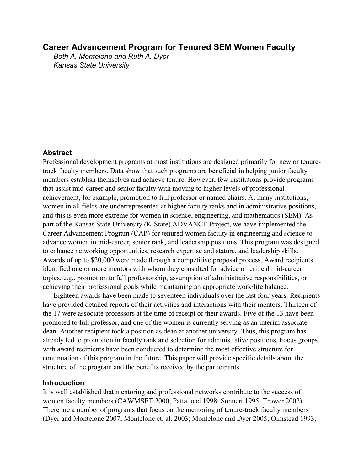# **Career Advancement Program for Tenured SEM Women Faculty**

*Beth A. Montelone and Ruth A. Dyer Kansas State University*

### **Abstract**

Professional development programs at most institutions are designed primarily for new or tenuretrack faculty members. Data show that such programs are beneficial in helping junior faculty members establish themselves and achieve tenure. However, few institutions provide programs that assist mid-career and senior faculty with moving to higher levels of professional achievement, for example, promotion to full professor or named chairs. At many institutions, women in all fields are underrepresented at higher faculty ranks and in administrative positions, and this is even more extreme for women in science, engineering, and mathematics (SEM). As part of the Kansas State University (K-State) ADVANCE Project, we have implemented the Career Advancement Program (CAP) for tenured women faculty in engineering and science to advance women in mid-career, senior rank, and leadership positions. This program was designed to enhance networking opportunities, research expertise and stature, and leadership skills. Awards of up to \$20,000 were made through a competitive proposal process. Award recipients identified one or more mentors with whom they consulted for advice on critical mid-career topics, e.g., promotion to full professorship, assumption of administrative responsibilities, or achieving their professional goals while maintaining an appropriate work/life balance.

Eighteen awards have been made to seventeen individuals over the last four years. Recipients have provided detailed reports of their activities and interactions with their mentors. Thirteen of the 17 were associate professors at the time of receipt of their awards. Five of the 13 have been promoted to full professor, and one of the women is currently serving as an interim associate dean. Another recipient took a position as dean at another university. Thus, this program has already led to promotion in faculty rank and selection for administrative positions. Focus groups with award recipients have been conducted to determine the most effective structure for continuation of this program in the future. This paper will provide specific details about the structure of the program and the benefits received by the participants.

## **Introduction**

It is well established that mentoring and professional networks contribute to the success of women faculty members (CAWMSET 2000; Pattatucci 1998; Sonnert 1995; Trower 2002). There are a number of programs that focus on the mentoring of tenure-track faculty members (Dyer and Montelone 2007; Montelone et. al. 2003; Montelone and Dyer 2005; Olmstead 1993;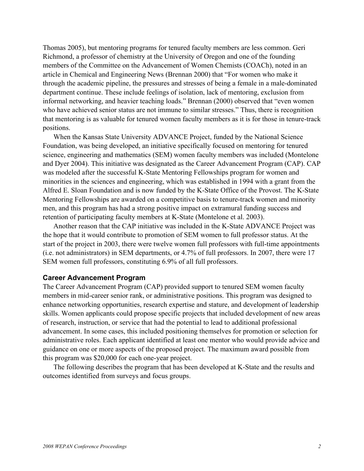Thomas 2005), but mentoring programs for tenured faculty members are less common. Geri Richmond, a professor of chemistry at the University of Oregon and one of the founding members of the Committee on the Advancement of Women Chemists (COACh), noted in an article in Chemical and Engineering News (Brennan 2000) that "For women who make it through the academic pipeline, the pressures and stresses of being a female in a male-dominated department continue. These include feelings of isolation, lack of mentoring, exclusion from informal networking, and heavier teaching loads." Brennan (2000) observed that "even women who have achieved senior status are not immune to similar stresses." Thus, there is recognition that mentoring is as valuable for tenured women faculty members as it is for those in tenure-track positions.

When the Kansas State University ADVANCE Project, funded by the National Science Foundation, was being developed, an initiative specifically focused on mentoring for tenured science, engineering and mathematics (SEM) women faculty members was included (Montelone and Dyer 2004). This initiative was designated as the Career Advancement Program (CAP). CAP was modeled after the successful K-State Mentoring Fellowships program for women and minorities in the sciences and engineering, which was established in 1994 with a grant from the Alfred E. Sloan Foundation and is now funded by the K-State Office of the Provost. The K-State Mentoring Fellowships are awarded on a competitive basis to tenure-track women and minority men, and this program has had a strong positive impact on extramural funding success and retention of participating faculty members at K-State (Montelone et al. 2003).

Another reason that the CAP initiative was included in the K-State ADVANCE Project was the hope that it would contribute to promotion of SEM women to full professor status. At the start of the project in 2003, there were twelve women full professors with full-time appointments (i.e. not administrators) in SEM departments, or 4.7% of full professors. In 2007, there were 17 SEM women full professors, constituting 6.9% of all full professors.

#### **Career Advancement Program**

The Career Advancement Program (CAP) provided support to tenured SEM women faculty members in mid-career senior rank, or administrative positions. This program was designed to enhance networking opportunities, research expertise and stature, and development of leadership skills. Women applicants could propose specific projects that included development of new areas of research, instruction, or service that had the potential to lead to additional professional advancement. In some cases, this included positioning themselves for promotion or selection for administrative roles. Each applicant identified at least one mentor who would provide advice and guidance on one or more aspects of the proposed project. The maximum award possible from this program was \$20,000 for each one-year project.

The following describes the program that has been developed at K-State and the results and outcomes identified from surveys and focus groups.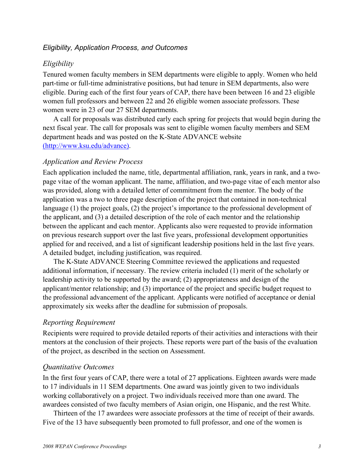# *Eligibility, Application Process, and Outcomes*

# *Eligibility*

Tenured women faculty members in SEM departments were eligible to apply. Women who held part-time or full-time administrative positions, but had tenure in SEM departments, also were eligible. During each of the first four years of CAP, there have been between 16 and 23 eligible women full professors and between 22 and 26 eligible women associate professors. These women were in 23 of our 27 SEM departments.

A call for proposals was distributed early each spring for projects that would begin during the next fiscal year. The call for proposals was sent to eligible women faculty members and SEM department heads and was posted on the K-State ADVANCE website (http://www.ksu.edu/advance).

### *Application and Review Process*

Each application included the name, title, departmental affiliation, rank, years in rank, and a twopage vitae of the woman applicant. The name, affiliation, and two-page vitae of each mentor also was provided, along with a detailed letter of commitment from the mentor. The body of the application was a two to three page description of the project that contained in non-technical language (1) the project goals, (2) the project's importance to the professional development of the applicant, and (3) a detailed description of the role of each mentor and the relationship between the applicant and each mentor. Applicants also were requested to provide information on previous research support over the last five years, professional development opportunities applied for and received, and a list of significant leadership positions held in the last five years. A detailed budget, including justification, was required.

The K-State ADVANCE Steering Committee reviewed the applications and requested additional information, if necessary. The review criteria included (1) merit of the scholarly or leadership activity to be supported by the award; (2) appropriateness and design of the applicant/mentor relationship; and (3) importance of the project and specific budget request to the professional advancement of the applicant. Applicants were notified of acceptance or denial approximately six weeks after the deadline for submission of proposals.

### *Reporting Requirement*

Recipients were required to provide detailed reports of their activities and interactions with their mentors at the conclusion of their projects. These reports were part of the basis of the evaluation of the project, as described in the section on Assessment.

### *Quantitative Outcomes*

In the first four years of CAP, there were a total of 27 applications. Eighteen awards were made to 17 individuals in 11 SEM departments. One award was jointly given to two individuals working collaboratively on a project. Two individuals received more than one award. The awardees consisted of two faculty members of Asian origin, one Hispanic, and the rest White.

Thirteen of the 17 awardees were associate professors at the time of receipt of their awards. Five of the 13 have subsequently been promoted to full professor, and one of the women is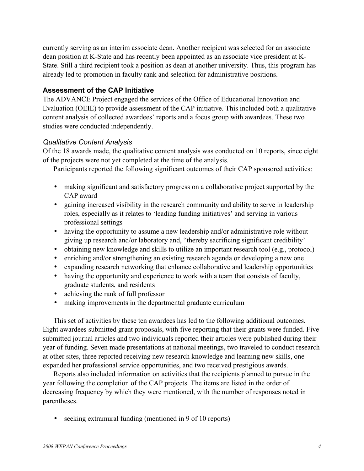currently serving as an interim associate dean. Another recipient was selected for an associate dean position at K-State and has recently been appointed as an associate vice president at K-State. Still a third recipient took a position as dean at another university. Thus, this program has already led to promotion in faculty rank and selection for administrative positions.

# **Assessment of the CAP Initiative**

The ADVANCE Project engaged the services of the Office of Educational Innovation and Evaluation (OEIE) to provide assessment of the CAP initiative. This included both a qualitative content analysis of collected awardees' reports and a focus group with awardees. These two studies were conducted independently.

### *Qualitative Content Analysis*

Of the 18 awards made, the qualitative content analysis was conducted on 10 reports, since eight of the projects were not yet completed at the time of the analysis.

Participants reported the following significant outcomes of their CAP sponsored activities:

- making significant and satisfactory progress on a collaborative project supported by the CAP award
- gaining increased visibility in the research community and ability to serve in leadership roles, especially as it relates to 'leading funding initiatives' and serving in various professional settings
- having the opportunity to assume a new leadership and/or administrative role without giving up research and/or laboratory and, "thereby sacrificing significant credibility'
- obtaining new knowledge and skills to utilize an important research tool (e.g., protocol)
- enriching and/or strengthening an existing research agenda or developing a new one
- expanding research networking that enhance collaborative and leadership opportunities
- having the opportunity and experience to work with a team that consists of faculty, graduate students, and residents
- achieving the rank of full professor
- making improvements in the departmental graduate curriculum

This set of activities by these ten awardees has led to the following additional outcomes. Eight awardees submitted grant proposals, with five reporting that their grants were funded. Five submitted journal articles and two individuals reported their articles were published during their year of funding. Seven made presentations at national meetings, two traveled to conduct research at other sites, three reported receiving new research knowledge and learning new skills, one expanded her professional service opportunities, and two received prestigious awards.

Reports also included information on activities that the recipients planned to pursue in the year following the completion of the CAP projects. The items are listed in the order of decreasing frequency by which they were mentioned, with the number of responses noted in parentheses.

• seeking extramural funding (mentioned in 9 of 10 reports)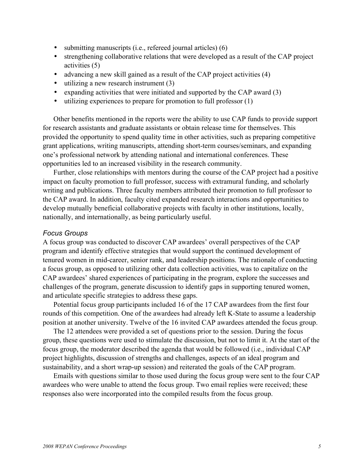- submitting manuscripts (i.e., refereed journal articles) (6)
- strengthening collaborative relations that were developed as a result of the CAP project activities (5)
- advancing a new skill gained as a result of the CAP project activities (4)
- utilizing a new research instrument (3)
- expanding activities that were initiated and supported by the CAP award (3)
- utilizing experiences to prepare for promotion to full professor (1)

Other benefits mentioned in the reports were the ability to use CAP funds to provide support for research assistants and graduate assistants or obtain release time for themselves. This provided the opportunity to spend quality time in other activities, such as preparing competitive grant applications, writing manuscripts, attending short-term courses/seminars, and expanding one's professional network by attending national and international conferences. These opportunities led to an increased visibility in the research community.

Further, close relationships with mentors during the course of the CAP project had a positive impact on faculty promotion to full professor, success with extramural funding, and scholarly writing and publications. Three faculty members attributed their promotion to full professor to the CAP award. In addition, faculty cited expanded research interactions and opportunities to develop mutually beneficial collaborative projects with faculty in other institutions, locally, nationally, and internationally, as being particularly useful.

## *Focus Groups*

A focus group was conducted to discover CAP awardees' overall perspectives of the CAP program and identify effective strategies that would support the continued development of tenured women in mid-career, senior rank, and leadership positions. The rationale of conducting a focus group, as opposed to utilizing other data collection activities, was to capitalize on the CAP awardees' shared experiences of participating in the program, explore the successes and challenges of the program, generate discussion to identify gaps in supporting tenured women, and articulate specific strategies to address these gaps.

Potential focus group participants included 16 of the 17 CAP awardees from the first four rounds of this competition. One of the awardees had already left K-State to assume a leadership position at another university. Twelve of the 16 invited CAP awardees attended the focus group.

The 12 attendees were provided a set of questions prior to the session. During the focus group, these questions were used to stimulate the discussion, but not to limit it. At the start of the focus group, the moderator described the agenda that would be followed (i.e., individual CAP project highlights, discussion of strengths and challenges, aspects of an ideal program and sustainability, and a short wrap-up session) and reiterated the goals of the CAP program.

Emails with questions similar to those used during the focus group were sent to the four CAP awardees who were unable to attend the focus group. Two email replies were received; these responses also were incorporated into the compiled results from the focus group.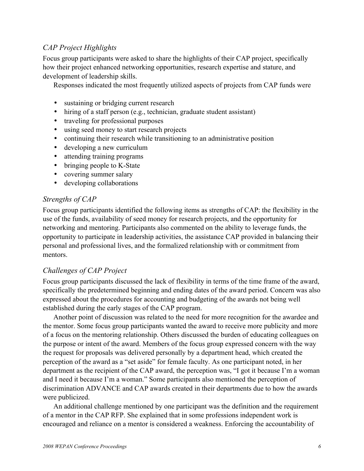# *CAP Project Highlights*

Focus group participants were asked to share the highlights of their CAP project, specifically how their project enhanced networking opportunities, research expertise and stature, and development of leadership skills.

Responses indicated the most frequently utilized aspects of projects from CAP funds were

- sustaining or bridging current research
- hiring of a staff person (e.g., technician, graduate student assistant)
- traveling for professional purposes
- using seed money to start research projects
- continuing their research while transitioning to an administrative position
- developing a new curriculum
- attending training programs
- bringing people to K-State
- covering summer salary
- developing collaborations

# *Strengths of CAP*

Focus group participants identified the following items as strengths of CAP: the flexibility in the use of the funds, availability of seed money for research projects, and the opportunity for networking and mentoring. Participants also commented on the ability to leverage funds, the opportunity to participate in leadership activities, the assistance CAP provided in balancing their personal and professional lives, and the formalized relationship with or commitment from mentors.

# *Challenges of CAP Project*

Focus group participants discussed the lack of flexibility in terms of the time frame of the award, specifically the predetermined beginning and ending dates of the award period. Concern was also expressed about the procedures for accounting and budgeting of the awards not being well established during the early stages of the CAP program.

Another point of discussion was related to the need for more recognition for the awardee and the mentor. Some focus group participants wanted the award to receive more publicity and more of a focus on the mentoring relationship. Others discussed the burden of educating colleagues on the purpose or intent of the award. Members of the focus group expressed concern with the way the request for proposals was delivered personally by a department head, which created the perception of the award as a "set aside" for female faculty. As one participant noted, in her department as the recipient of the CAP award, the perception was, "I got it because I'm a woman and I need it because I'm a woman." Some participants also mentioned the perception of discrimination ADVANCE and CAP awards created in their departments due to how the awards were publicized.

An additional challenge mentioned by one participant was the definition and the requirement of a mentor in the CAP RFP. She explained that in some professions independent work is encouraged and reliance on a mentor is considered a weakness. Enforcing the accountability of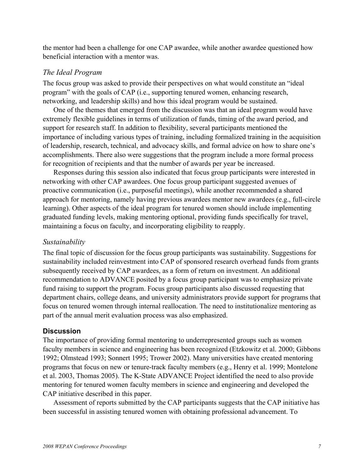the mentor had been a challenge for one CAP awardee, while another awardee questioned how beneficial interaction with a mentor was.

### *The Ideal Program*

The focus group was asked to provide their perspectives on what would constitute an "ideal program" with the goals of CAP (i.e., supporting tenured women, enhancing research, networking, and leadership skills) and how this ideal program would be sustained.

One of the themes that emerged from the discussion was that an ideal program would have extremely flexible guidelines in terms of utilization of funds, timing of the award period, and support for research staff. In addition to flexibility, several participants mentioned the importance of including various types of training, including formalized training in the acquisition of leadership, research, technical, and advocacy skills, and formal advice on how to share one's accomplishments. There also were suggestions that the program include a more formal process for recognition of recipients and that the number of awards per year be increased.

Responses during this session also indicated that focus group participants were interested in networking with other CAP awardees. One focus group participant suggested avenues of proactive communication (i.e., purposeful meetings), while another recommended a shared approach for mentoring, namely having previous awardees mentor new awardees (e.g., full-circle learning). Other aspects of the ideal program for tenured women should include implementing graduated funding levels, making mentoring optional, providing funds specifically for travel, maintaining a focus on faculty, and incorporating eligibility to reapply.

#### *Sustainability*

The final topic of discussion for the focus group participants was sustainability. Suggestions for sustainability included reinvestment into CAP of sponsored research overhead funds from grants subsequently received by CAP awardees, as a form of return on investment. An additional recommendation to ADVANCE posited by a focus group participant was to emphasize private fund raising to support the program. Focus group participants also discussed requesting that department chairs, college deans, and university administrators provide support for programs that focus on tenured women through internal reallocation. The need to institutionalize mentoring as part of the annual merit evaluation process was also emphasized.

### **Discussion**

The importance of providing formal mentoring to underrepresented groups such as women faculty members in science and engineering has been recognized (Etzkowitz et al. 2000; Gibbons 1992; Olmstead 1993; Sonnert 1995; Trower 2002). Many universities have created mentoring programs that focus on new or tenure-track faculty members (e.g., Henry et al. 1999; Montelone et al. 2003, Thomas 2005). The K-State ADVANCE Project identified the need to also provide mentoring for tenured women faculty members in science and engineering and developed the CAP initiative described in this paper.

Assessment of reports submitted by the CAP participants suggests that the CAP initiative has been successful in assisting tenured women with obtaining professional advancement. To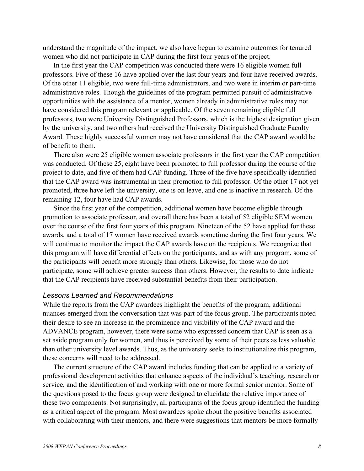understand the magnitude of the impact, we also have begun to examine outcomes for tenured women who did not participate in CAP during the first four years of the project.

In the first year the CAP competition was conducted there were 16 eligible women full professors. Five of these 16 have applied over the last four years and four have received awards. Of the other 11 eligible, two were full-time administrators, and two were in interim or part-time administrative roles. Though the guidelines of the program permitted pursuit of administrative opportunities with the assistance of a mentor, women already in administrative roles may not have considered this program relevant or applicable. Of the seven remaining eligible full professors, two were University Distinguished Professors, which is the highest designation given by the university, and two others had received the University Distinguished Graduate Faculty Award. These highly successful women may not have considered that the CAP award would be of benefit to them.

There also were 25 eligible women associate professors in the first year the CAP competition was conducted. Of these 25, eight have been promoted to full professor during the course of the project to date, and five of them had CAP funding. Three of the five have specifically identified that the CAP award was instrumental in their promotion to full professor. Of the other 17 not yet promoted, three have left the university, one is on leave, and one is inactive in research. Of the remaining 12, four have had CAP awards.

Since the first year of the competition, additional women have become eligible through promotion to associate professor, and overall there has been a total of 52 eligible SEM women over the course of the first four years of this program. Nineteen of the 52 have applied for these awards, and a total of 17 women have received awards sometime during the first four years. We will continue to monitor the impact the CAP awards have on the recipients. We recognize that this program will have differential effects on the participants, and as with any program, some of the participants will benefit more strongly than others. Likewise, for those who do not participate, some will achieve greater success than others. However, the results to date indicate that the CAP recipients have received substantial benefits from their participation.

### *Lessons Learned and Recommendations*

While the reports from the CAP awardees highlight the benefits of the program, additional nuances emerged from the conversation that was part of the focus group. The participants noted their desire to see an increase in the prominence and visibility of the CAP award and the ADVANCE program, however, there were some who expressed concern that CAP is seen as a set aside program only for women, and thus is perceived by some of their peers as less valuable than other university level awards. Thus, as the university seeks to institutionalize this program, these concerns will need to be addressed.

The current structure of the CAP award includes funding that can be applied to a variety of professional development activities that enhance aspects of the individual's teaching, research or service, and the identification of and working with one or more formal senior mentor. Some of the questions posed to the focus group were designed to elucidate the relative importance of these two components. Not surprisingly, all participants of the focus group identified the funding as a critical aspect of the program. Most awardees spoke about the positive benefits associated with collaborating with their mentors, and there were suggestions that mentors be more formally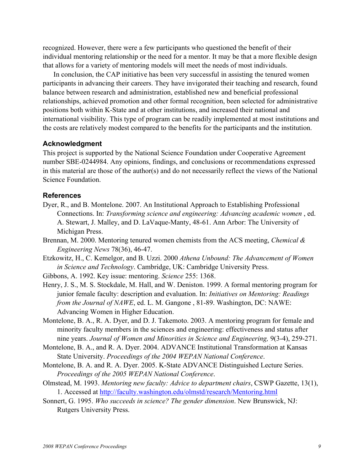recognized. However, there were a few participants who questioned the benefit of their individual mentoring relationship or the need for a mentor. It may be that a more flexible design that allows for a variety of mentoring models will meet the needs of most individuals.

In conclusion, the CAP initiative has been very successful in assisting the tenured women participants in advancing their careers. They have invigorated their teaching and research, found balance between research and administration, established new and beneficial professional relationships, achieved promotion and other formal recognition, been selected for administrative positions both within K-State and at other institutions, and increased their national and international visibility. This type of program can be readily implemented at most institutions and the costs are relatively modest compared to the benefits for the participants and the institution.

## **Acknowledgment**

This project is supported by the National Science Foundation under Cooperative Agreement number SBE-0244984. Any opinions, findings, and conclusions or recommendations expressed in this material are those of the author(s) and do not necessarily reflect the views of the National Science Foundation.

### **References**

- Dyer, R., and B. Montelone. 2007. An Institutional Approach to Establishing Professional Connections. In: *Transforming science and engineering: Advancing academic women* , ed. A. Stewart, J. Malley, and D. LaVaque-Manty, 48-61. Ann Arbor: The University of Michigan Press.
- Brennan, M. 2000. Mentoring tenured women chemists from the ACS meeting, *Chemical & Engineering News* 78(36), 46-47.
- Etzkowitz, H., C. Kemelgor, and B. Uzzi. 2000 *Athena Unbound: The Advancement of Women in Science and Technology*. Cambridge, UK: Cambridge University Press.
- Gibbons, A. 1992. Key issue: mentoring. *Science* 255: 1368.
- Henry, J. S., M. S. Stockdale, M. Hall, and W. Deniston. 1999. A formal mentoring program for junior female faculty: description and evaluation. In: *Initiatives on Mentoring: Readings from the Journal of NAWE*, ed. L. M. Gangone , 81-89. Washington, DC: NAWE: Advancing Women in Higher Education.
- Montelone, B. A., R. A. Dyer, and D. J. Takemoto. 2003. A mentoring program for female and minority faculty members in the sciences and engineering: effectiveness and status after nine years. *Journal of Women and Minorities in Science and Engineering,* 9(3-4), 259-271.
- Montelone, B. A., and R. A. Dyer. 2004. ADVANCE Institutional Transformation at Kansas State University. *Proceedings of the 2004 WEPAN National Conference*.
- Montelone, B. A. and R. A. Dyer. 2005. K-State ADVANCE Distinguished Lecture Series. *Proceedings of the 2005 WEPAN National Conference*.
- Olmstead, M. 1993. *Mentoring new faculty: Advice to department chairs*, CSWP Gazette, 13(1), 1. Accessed at http://faculty.washington.edu/olmstd/research/Mentoring.html
- Sonnert, G. 1995. *Who succeeds in science? The gender dimension*. New Brunswick, NJ: Rutgers University Press.